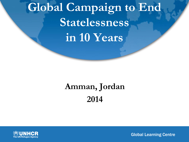# **Global Campaign to End Statelessness in 10 Years**

## **Amman, Jordan 2014**



**Global Learning Centre**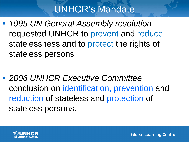## UNHCR's Mandate

 *1995 UN General Assembly resolution* requested UNHCR to prevent and reduce statelessness and to protect the rights of stateless persons

 *2006 UNHCR Executive Committee* conclusion on identification, prevention and reduction of stateless and protection of stateless persons.

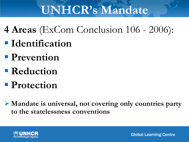# **UNHCR's Mandate**

- **4 Areas** (ExCom Conclusion 106 2006): **I**dentification
- **Prevention**
- **Reduction**
- **Protection**
- **Mandate is universal, not covering only countries party to the statelessness conventions**

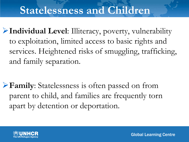### **Statelessness and Children**

**Individual Level**: Illiteracy, poverty, vulnerability to exploitation, limited access to basic rights and services. Heightened risks of smuggling, trafficking, and family separation.

**Family**: Statelessness is often passed on from parent to child, and families are frequently torn apart by detention or deportation.

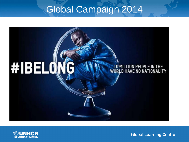### Global Campaign 2014





**Global Learning Centre**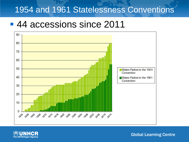#### 1954 and 1961 Statelessness Conventions

### ■ 44 accessions since 2011





**Global Learning Centre**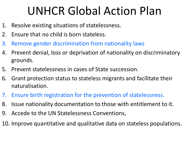# UNHCR Global Action Plan

- 1. Resolve existing situations of statelessness.
- 2. Ensure that no child is born stateless.
- 3. Remove gender discrimination from nationality laws
- 4. Prevent denial, loss or deprivation of nationality on discriminatory grounds.
- 5. Prevent statelessness in cases of State succession.
- 6. Grant protection status to stateless migrants and facilitate their naturalisation.
- 7. Ensure birth registration for the prevention of statelessness.
- 8. Issue nationality documentation to those with entitlement to it.
- 9. Accede to the UN Statelessness Conventions,
- 10. Improve quantitative and qualitative data on stateless populations.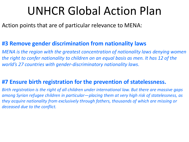# UNHCR Global Action Plan

Action points that are of particular relevance to MENA:

#### **#3 Remove gender discrimination from nationality laws**

*MENA is the region with the greatest concentration of nationality laws denying women the right to confer nationality to children on an equal basis as men. It has 12 of the world's 27 countries with gender-discriminatory nationality laws.*

#### **#7 Ensure birth registration for the prevention of statelessness.**

*Birth registration is the right of all children under international law. But there are massive gaps among Syrian refugee children in particular—placing them at very high risk of statelessness, as they acquire nationality from exclusively through fathers, thousands of which are missing or deceased due to the conflict.*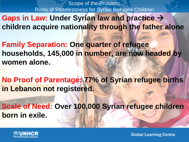Scope of the Problem: Risks of Statelessness for Syrian Refugee Children

- **Gaps in Law: Under Syrian law and practice children acquire nationality through the father alone**
- **Family Separation: One quarter of refugee households, 145,000 in number, are now headed by women alone.**
- **No Proof of Parentage: 77% of Syrian refugee births in Lebanon not registered.**
- **Scale of Need: Over 100,000 Syrian refugee children born in exile.**

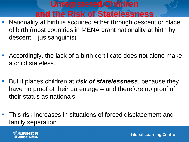### **Unregistered Children and the Risk of Statelessness**

- **Nationality at birth is acquired either through descent or place** of birth (most countries in MENA grant nationality at birth by descent – jus sanguinis)
- Accordingly, the lack of a birth certificate does not alone make a child stateless.
- But it places children at *risk of statelessness*, because they have no proof of their parentage – and therefore no proof of their status as nationals.
- **This risk increases in situations of forced displacement and** family separation.